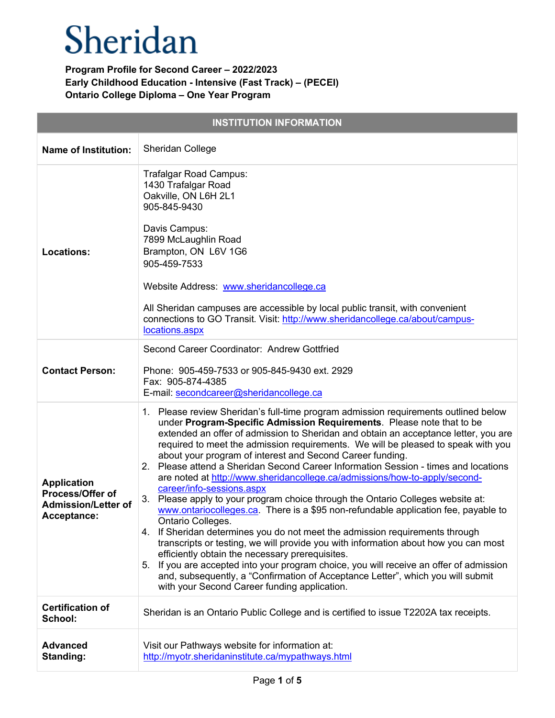| <b>INSTITUTION INFORMATION</b>                                                      |                                                                                                                                                                                                                                                                                                                                                                                                                                                                                                                                                                                                                                                                                                                                                                                                                                                                                                                                                                                                                                                                                                                                                                                                                                                                                    |  |
|-------------------------------------------------------------------------------------|------------------------------------------------------------------------------------------------------------------------------------------------------------------------------------------------------------------------------------------------------------------------------------------------------------------------------------------------------------------------------------------------------------------------------------------------------------------------------------------------------------------------------------------------------------------------------------------------------------------------------------------------------------------------------------------------------------------------------------------------------------------------------------------------------------------------------------------------------------------------------------------------------------------------------------------------------------------------------------------------------------------------------------------------------------------------------------------------------------------------------------------------------------------------------------------------------------------------------------------------------------------------------------|--|
| <b>Name of Institution:</b>                                                         | Sheridan College                                                                                                                                                                                                                                                                                                                                                                                                                                                                                                                                                                                                                                                                                                                                                                                                                                                                                                                                                                                                                                                                                                                                                                                                                                                                   |  |
| <b>Locations:</b>                                                                   | Trafalgar Road Campus:<br>1430 Trafalgar Road<br>Oakville, ON L6H 2L1<br>905-845-9430<br>Davis Campus:<br>7899 McLaughlin Road<br>Brampton, ON L6V 1G6<br>905-459-7533<br>Website Address: www.sheridancollege.ca<br>All Sheridan campuses are accessible by local public transit, with convenient<br>connections to GO Transit. Visit: http://www.sheridancollege.ca/about/campus-<br>locations.aspx                                                                                                                                                                                                                                                                                                                                                                                                                                                                                                                                                                                                                                                                                                                                                                                                                                                                              |  |
| <b>Contact Person:</b>                                                              | Second Career Coordinator: Andrew Gottfried<br>Phone: 905-459-7533 or 905-845-9430 ext. 2929<br>Fax: 905-874-4385<br>E-mail: secondcareer@sheridancollege.ca                                                                                                                                                                                                                                                                                                                                                                                                                                                                                                                                                                                                                                                                                                                                                                                                                                                                                                                                                                                                                                                                                                                       |  |
| <b>Application</b><br>Process/Offer of<br><b>Admission/Letter of</b><br>Acceptance: | 1. Please review Sheridan's full-time program admission requirements outlined below<br>under Program-Specific Admission Requirements. Please note that to be<br>extended an offer of admission to Sheridan and obtain an acceptance letter, you are<br>required to meet the admission requirements. We will be pleased to speak with you<br>about your program of interest and Second Career funding.<br>Please attend a Sheridan Second Career Information Session - times and locations<br>2 <sub>1</sub><br>are noted at http://www.sheridancollege.ca/admissions/how-to-apply/second-<br>career/info-sessions.aspx<br>3.<br>Please apply to your program choice through the Ontario Colleges website at:<br>www.ontariocolleges.ca. There is a \$95 non-refundable application fee, payable to<br>Ontario Colleges.<br>4. If Sheridan determines you do not meet the admission requirements through<br>transcripts or testing, we will provide you with information about how you can most<br>efficiently obtain the necessary prerequisites.<br>If you are accepted into your program choice, you will receive an offer of admission<br>5.<br>and, subsequently, a "Confirmation of Acceptance Letter", which you will submit<br>with your Second Career funding application. |  |
| <b>Certification of</b><br>School:                                                  | Sheridan is an Ontario Public College and is certified to issue T2202A tax receipts.                                                                                                                                                                                                                                                                                                                                                                                                                                                                                                                                                                                                                                                                                                                                                                                                                                                                                                                                                                                                                                                                                                                                                                                               |  |
| <b>Advanced</b><br>Standing:                                                        | Visit our Pathways website for information at:<br>http://myotr.sheridaninstitute.ca/mypathways.html                                                                                                                                                                                                                                                                                                                                                                                                                                                                                                                                                                                                                                                                                                                                                                                                                                                                                                                                                                                                                                                                                                                                                                                |  |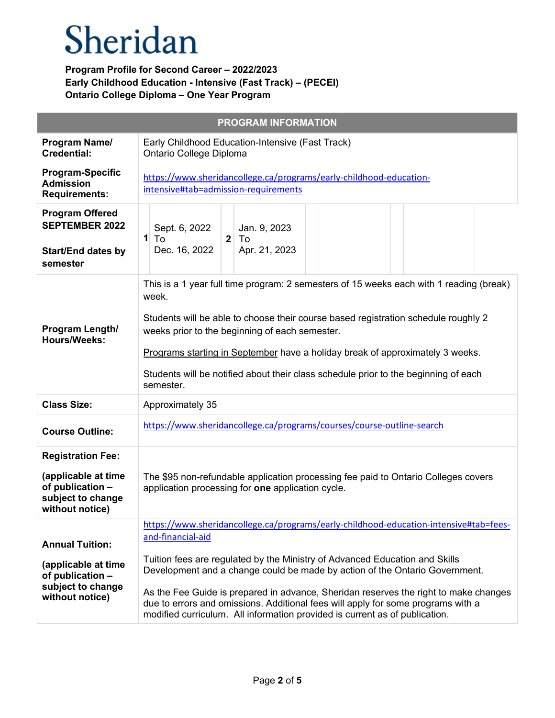|                                                                                                             | <b>PROGRAM INFORMATION</b>                                                                                                                                                                                                                                                                                                                                                                                                                                                                                                          |
|-------------------------------------------------------------------------------------------------------------|-------------------------------------------------------------------------------------------------------------------------------------------------------------------------------------------------------------------------------------------------------------------------------------------------------------------------------------------------------------------------------------------------------------------------------------------------------------------------------------------------------------------------------------|
| Program Name/<br><b>Credential:</b>                                                                         | Early Childhood Education-Intensive (Fast Track)<br>Ontario College Diploma                                                                                                                                                                                                                                                                                                                                                                                                                                                         |
| <b>Program-Specific</b><br><b>Admission</b><br><b>Requirements:</b>                                         | https://www.sheridancollege.ca/programs/early-childhood-education-<br>intensive#tab=admission-requirements                                                                                                                                                                                                                                                                                                                                                                                                                          |
| <b>Program Offered</b><br><b>SEPTEMBER 2022</b><br><b>Start/End dates by</b><br>semester                    | Sept. 6, 2022<br>Jan. 9, 2023<br>$\mathbf{1}$<br>$\overline{2}$<br>To<br>To<br>Dec. 16, 2022<br>Apr. 21, 2023                                                                                                                                                                                                                                                                                                                                                                                                                       |
| Program Length/<br><b>Hours/Weeks:</b>                                                                      | This is a 1 year full time program: 2 semesters of 15 weeks each with 1 reading (break)<br>week.<br>Students will be able to choose their course based registration schedule roughly 2<br>weeks prior to the beginning of each semester.<br>Programs starting in September have a holiday break of approximately 3 weeks.<br>Students will be notified about their class schedule prior to the beginning of each<br>semester.                                                                                                       |
| <b>Class Size:</b>                                                                                          | Approximately 35                                                                                                                                                                                                                                                                                                                                                                                                                                                                                                                    |
| <b>Course Outline:</b>                                                                                      | https://www.sheridancollege.ca/programs/courses/course-outline-search                                                                                                                                                                                                                                                                                                                                                                                                                                                               |
| <b>Registration Fee:</b><br>(applicable at time<br>of publication -<br>subject to change<br>without notice) | The \$95 non-refundable application processing fee paid to Ontario Colleges covers<br>application processing for one application cycle.                                                                                                                                                                                                                                                                                                                                                                                             |
| <b>Annual Tuition:</b><br>(applicable at time<br>of publication -<br>subject to change<br>without notice)   | https://www.sheridancollege.ca/programs/early-childhood-education-intensive#tab=fees-<br>and-financial-aid<br>Tuition fees are regulated by the Ministry of Advanced Education and Skills<br>Development and a change could be made by action of the Ontario Government.<br>As the Fee Guide is prepared in advance, Sheridan reserves the right to make changes<br>due to errors and omissions. Additional fees will apply for some programs with a<br>modified curriculum. All information provided is current as of publication. |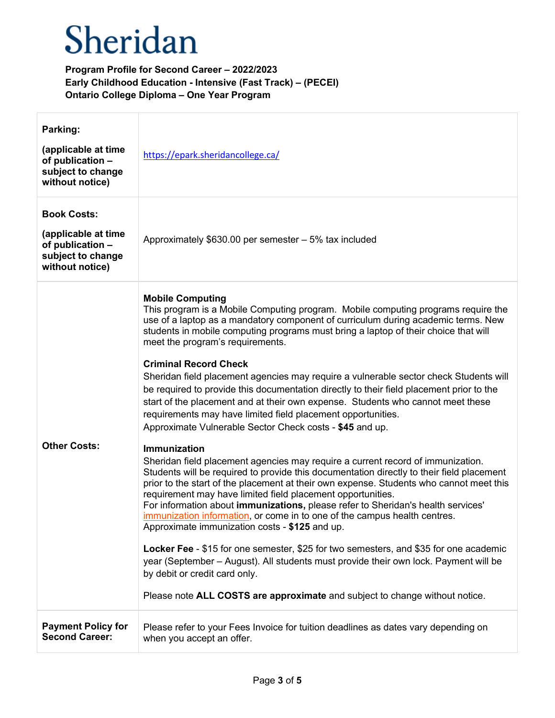| Parking:<br>(applicable at time<br>of publication -<br>subject to change<br>without notice)           | https://epark.sheridancollege.ca/                                                                                                                                                                                                                                                                                                                                                                                                                                                                                                                                                                                                                                                                                                                                                                                                                                                                                                                                                                                                                                                                                                                                                                                                                                                                                                                                                                                                                                                                                                                                                                                                                     |
|-------------------------------------------------------------------------------------------------------|-------------------------------------------------------------------------------------------------------------------------------------------------------------------------------------------------------------------------------------------------------------------------------------------------------------------------------------------------------------------------------------------------------------------------------------------------------------------------------------------------------------------------------------------------------------------------------------------------------------------------------------------------------------------------------------------------------------------------------------------------------------------------------------------------------------------------------------------------------------------------------------------------------------------------------------------------------------------------------------------------------------------------------------------------------------------------------------------------------------------------------------------------------------------------------------------------------------------------------------------------------------------------------------------------------------------------------------------------------------------------------------------------------------------------------------------------------------------------------------------------------------------------------------------------------------------------------------------------------------------------------------------------------|
| <b>Book Costs:</b><br>(applicable at time<br>of publication -<br>subject to change<br>without notice) | Approximately \$630.00 per semester - 5% tax included                                                                                                                                                                                                                                                                                                                                                                                                                                                                                                                                                                                                                                                                                                                                                                                                                                                                                                                                                                                                                                                                                                                                                                                                                                                                                                                                                                                                                                                                                                                                                                                                 |
| <b>Other Costs:</b>                                                                                   | <b>Mobile Computing</b><br>This program is a Mobile Computing program. Mobile computing programs require the<br>use of a laptop as a mandatory component of curriculum during academic terms. New<br>students in mobile computing programs must bring a laptop of their choice that will<br>meet the program's requirements.<br><b>Criminal Record Check</b><br>Sheridan field placement agencies may require a vulnerable sector check Students will<br>be required to provide this documentation directly to their field placement prior to the<br>start of the placement and at their own expense. Students who cannot meet these<br>requirements may have limited field placement opportunities.<br>Approximate Vulnerable Sector Check costs - \$45 and up.<br><b>Immunization</b><br>Sheridan field placement agencies may require a current record of immunization.<br>Students will be required to provide this documentation directly to their field placement<br>prior to the start of the placement at their own expense. Students who cannot meet this<br>requirement may have limited field placement opportunities.<br>For information about immunizations, please refer to Sheridan's health services'<br>immunization information, or come in to one of the campus health centres.<br>Approximate immunization costs - \$125 and up.<br>Locker Fee - \$15 for one semester, \$25 for two semesters, and \$35 for one academic<br>year (September – August). All students must provide their own lock. Payment will be<br>by debit or credit card only.<br>Please note ALL COSTS are approximate and subject to change without notice. |
| <b>Payment Policy for</b><br><b>Second Career:</b>                                                    | Please refer to your Fees Invoice for tuition deadlines as dates vary depending on<br>when you accept an offer.                                                                                                                                                                                                                                                                                                                                                                                                                                                                                                                                                                                                                                                                                                                                                                                                                                                                                                                                                                                                                                                                                                                                                                                                                                                                                                                                                                                                                                                                                                                                       |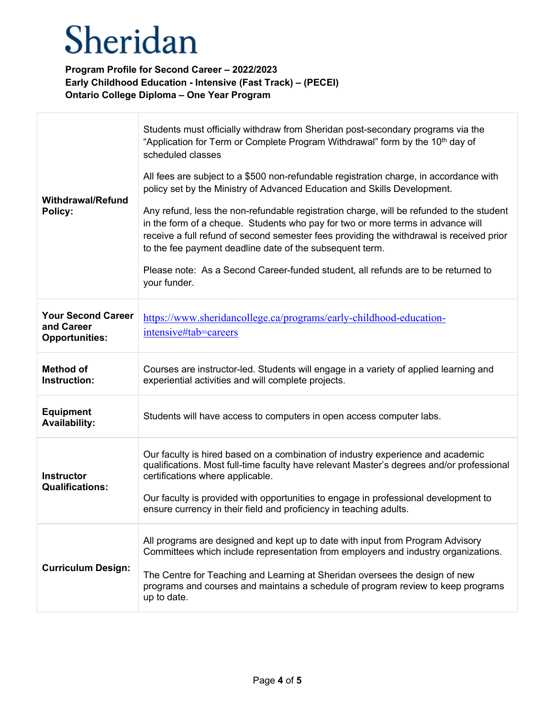Т

| <b>Withdrawal/Refund</b><br>Policy:                              | Students must officially withdraw from Sheridan post-secondary programs via the<br>"Application for Term or Complete Program Withdrawal" form by the 10 <sup>th</sup> day of<br>scheduled classes<br>All fees are subject to a \$500 non-refundable registration charge, in accordance with<br>policy set by the Ministry of Advanced Education and Skills Development.<br>Any refund, less the non-refundable registration charge, will be refunded to the student<br>in the form of a cheque. Students who pay for two or more terms in advance will<br>receive a full refund of second semester fees providing the withdrawal is received prior<br>to the fee payment deadline date of the subsequent term.<br>Please note: As a Second Career-funded student, all refunds are to be returned to<br>your funder. |
|------------------------------------------------------------------|---------------------------------------------------------------------------------------------------------------------------------------------------------------------------------------------------------------------------------------------------------------------------------------------------------------------------------------------------------------------------------------------------------------------------------------------------------------------------------------------------------------------------------------------------------------------------------------------------------------------------------------------------------------------------------------------------------------------------------------------------------------------------------------------------------------------|
| <b>Your Second Career</b><br>and Career<br><b>Opportunities:</b> | https://www.sheridancollege.ca/programs/early-childhood-education-<br>intensive#tab=careers                                                                                                                                                                                                                                                                                                                                                                                                                                                                                                                                                                                                                                                                                                                         |
| <b>Method of</b><br>Instruction:                                 | Courses are instructor-led. Students will engage in a variety of applied learning and<br>experiential activities and will complete projects.                                                                                                                                                                                                                                                                                                                                                                                                                                                                                                                                                                                                                                                                        |
| <b>Equipment</b><br><b>Availability:</b>                         | Students will have access to computers in open access computer labs.                                                                                                                                                                                                                                                                                                                                                                                                                                                                                                                                                                                                                                                                                                                                                |
| <b>Instructor</b><br><b>Qualifications:</b>                      | Our faculty is hired based on a combination of industry experience and academic<br>qualifications. Most full-time faculty have relevant Master's degrees and/or professional<br>certifications where applicable.<br>Our faculty is provided with opportunities to engage in professional development to<br>ensure currency in their field and proficiency in teaching adults.                                                                                                                                                                                                                                                                                                                                                                                                                                       |
| <b>Curriculum Design:</b>                                        | All programs are designed and kept up to date with input from Program Advisory<br>Committees which include representation from employers and industry organizations.<br>The Centre for Teaching and Learning at Sheridan oversees the design of new<br>programs and courses and maintains a schedule of program review to keep programs<br>up to date.                                                                                                                                                                                                                                                                                                                                                                                                                                                              |